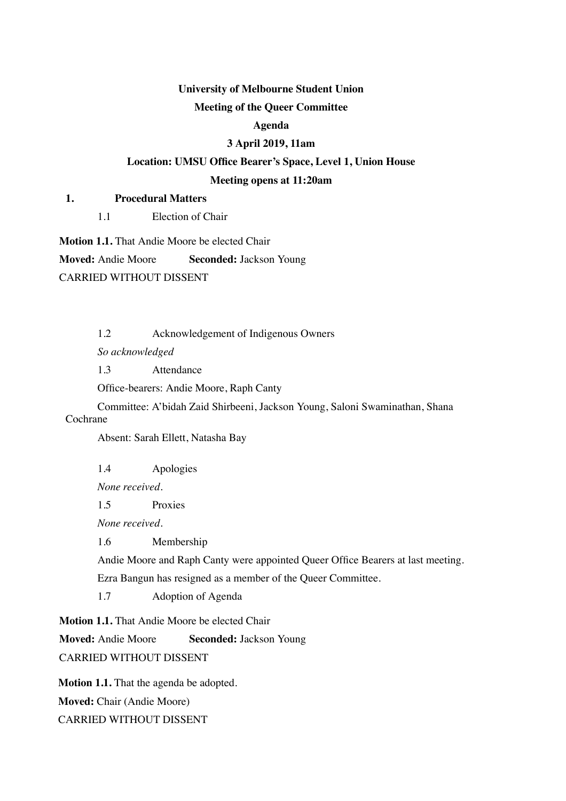# **University of Melbourne Student Union**

# **Meeting of the Queer Committee**

#### **Agenda**

# **3 April 2019, 11am**

# **Location: UMSU Office Bearer's Space, Level 1, Union House**

#### **Meeting opens at 11:20am**

#### **1. Procedural Matters**

1.1 Election of Chair

**Motion 1.1.** That Andie Moore be elected Chair

**Moved:** Andie Moore **Seconded:** Jackson Young

CARRIED WITHOUT DISSENT

1.2 Acknowledgement of Indigenous Owners

*So acknowledged*

1.3 Attendance

Office-bearers: Andie Moore, Raph Canty

Committee: A'bidah Zaid Shirbeeni, Jackson Young, Saloni Swaminathan, Shana Cochrane

Absent: Sarah Ellett, Natasha Bay

1.4 Apologies

*None received.*

1.5 Proxies

*None received.*

1.6 Membership

Andie Moore and Raph Canty were appointed Queer Office Bearers at last meeting.

Ezra Bangun has resigned as a member of the Queer Committee.

1.7 Adoption of Agenda

**Motion 1.1.** That Andie Moore be elected Chair

**Moved:** Andie Moore **Seconded:** Jackson Young

CARRIED WITHOUT DISSENT

**Motion 1.1.** That the agenda be adopted. **Moved:** Chair (Andie Moore) CARRIED WITHOUT DISSENT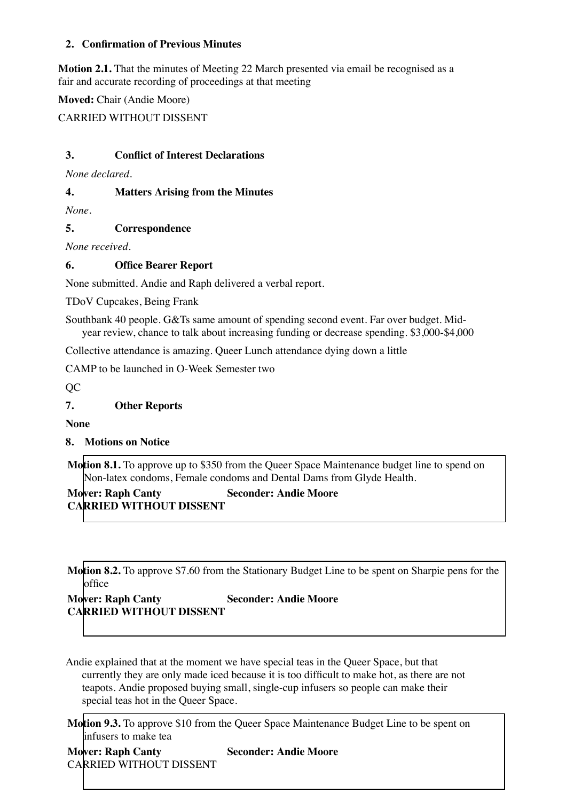# **2. Confirmation of Previous Minutes**

**Motion 2.1.** That the minutes of Meeting 22 March presented via email be recognised as a fair and accurate recording of proceedings at that meeting

**Moved:** Chair (Andie Moore)

CARRIED WITHOUT DISSENT

# **3. Conflict of Interest Declarations**

*None declared.*

### **4. Matters Arising from the Minutes**

*None.*

**5. Correspondence**

*None received.*

# **6. Office Bearer Report**

None submitted. Andie and Raph delivered a verbal report.

TDoV Cupcakes, Being Frank

Southbank 40 people. G&Ts same amount of spending second event. Far over budget. Midyear review, chance to talk about increasing funding or decrease spending. \$3,000-\$4,000

Collective attendance is amazing. Queer Lunch attendance dying down a little

CAMP to be launched in O-Week Semester two

QC

**7. Other Reports**

**None**

**8. Motions on Notice**

**Motion 8.1.** To approve up to \$350 from the Queer Space Maintenance budget line to spend on Non-latex condoms, Female condoms and Dental Dams from Glyde Health.

**Mover: Raph Canty Seconder: Andie Moore CARRIED WITHOUT DISSENT**

**Motion 8.2.** To approve \$7.60 from the Stationary Budget Line to be spent on Sharpie pens for the office

# **Mover: Raph Canty Seconder: Andie Moore CARRIED WITHOUT DISSENT**

Andie explained that at the moment we have special teas in the Queer Space, but that currently they are only made iced because it is too difficult to make hot, as there are not teapots. Andie proposed buying small, single-cup infusers so people can make their special teas hot in the Queer Space.

**Motion 9.3.** To approve \$10 from the Queer Space Maintenance Budget Line to be spent on infusers to make tea

| <b>Mover: Raph Canty</b> | S |
|--------------------------|---|
| CARRIED WITHOUT DISSENT  |   |

**Mover: Raph Canty Seconder: Andie Moore**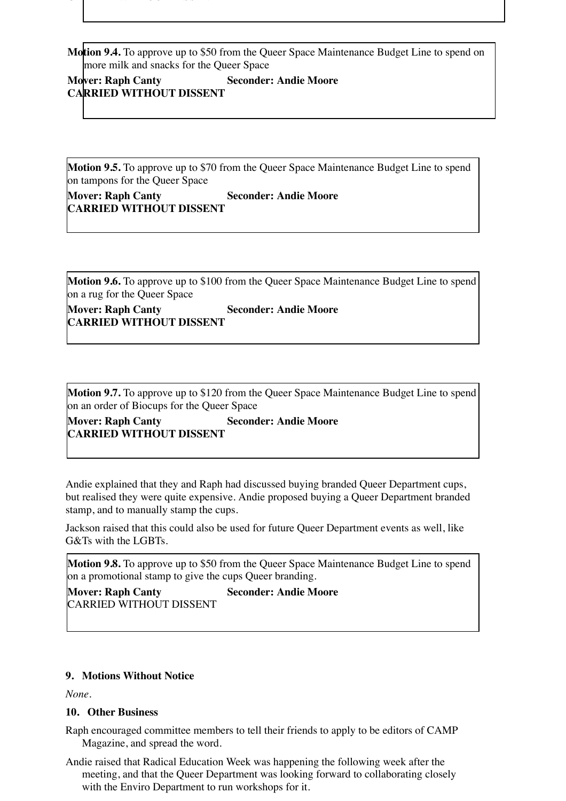**Motion 9.4.** To approve up to \$50 from the Queer Space Maintenance Budget Line to spend on more milk and snacks for the Queer Space

**Mover: Raph Canty Seconder: Andie Moore CARRIED WITHOUT DISSENT**

CARRIED WITHOUT DISSENTIAL

**Motion 9.5.** To approve up to \$70 from the Queer Space Maintenance Budget Line to spend on tampons for the Queer Space

**Mover: Raph Canty Seconder: Andie Moore CARRIED WITHOUT DISSENT**

**Motion 9.6.** To approve up to \$100 from the Queer Space Maintenance Budget Line to spend on a rug for the Queer Space

**Mover: Raph Canty Seconder: Andie Moore CARRIED WITHOUT DISSENT**

**Motion 9.7.** To approve up to \$120 from the Queer Space Maintenance Budget Line to spend on an order of Biocups for the Queer Space

**Mover: Raph Canty <b>Seconder: Andie Moore CARRIED WITHOUT DISSENT**

Andie explained that they and Raph had discussed buying branded Queer Department cups, but realised they were quite expensive. Andie proposed buying a Queer Department branded stamp, and to manually stamp the cups.

Jackson raised that this could also be used for future Queer Department events as well, like G&Ts with the LGBTs.

**Motion 9.8.** To approve up to \$50 from the Queer Space Maintenance Budget Line to spend on a promotional stamp to give the cups Queer branding.

**Mover: Raph Canty Seconder: Andie Moore** CARRIED WITHOUT DISSENT

#### **9. Motions Without Notice**

*None.*

#### **10. Other Business**

Raph encouraged committee members to tell their friends to apply to be editors of CAMP Magazine, and spread the word.

Andie raised that Radical Education Week was happening the following week after the meeting, and that the Queer Department was looking forward to collaborating closely with the Enviro Department to run workshops for it.